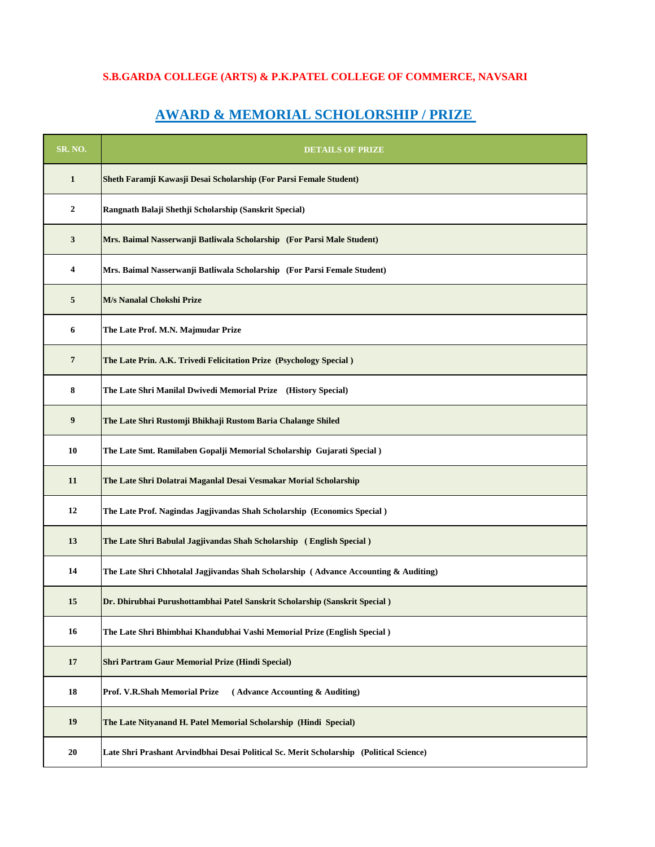## **S.B.GARDA COLLEGE (ARTS) & P.K.PATEL COLLEGE OF COMMERCE, NAVSARI**

## **AWARD & MEMORIAL SCHOLORSHIP / PRIZE**

| <b>SR. NO.</b> | <b>DETAILS OF PRIZE</b>                                                                 |
|----------------|-----------------------------------------------------------------------------------------|
| $\mathbf{1}$   | Sheth Faramji Kawasji Desai Scholarship (For Parsi Female Student)                      |
| $\mathbf{2}$   | Rangnath Balaji Shethji Scholarship (Sanskrit Special)                                  |
| 3              | Mrs. Baimal Nasserwanji Batliwala Scholarship (For Parsi Male Student)                  |
| 4              | Mrs. Baimal Nasserwanji Batliwala Scholarship (For Parsi Female Student)                |
| 5              | M/s Nanalal Chokshi Prize                                                               |
| 6              | The Late Prof. M.N. Majmudar Prize                                                      |
| 7              | The Late Prin. A.K. Trivedi Felicitation Prize (Psychology Special)                     |
| 8              | The Late Shri Manilal Dwivedi Memorial Prize (History Special)                          |
| 9              | The Late Shri Rustomji Bhikhaji Rustom Baria Chalange Shiled                            |
| 10             | The Late Smt. Ramilaben Gopalji Memorial Scholarship Gujarati Special)                  |
| 11             | The Late Shri Dolatrai Maganlal Desai Vesmakar Morial Scholarship                       |
| 12             | The Late Prof. Nagindas Jagjivandas Shah Scholarship (Economics Special)                |
| 13             | The Late Shri Babulal Jagjivandas Shah Scholarship (English Special)                    |
| 14             | The Late Shri Chhotalal Jagjivandas Shah Scholarship (Advance Accounting & Auditing)    |
| 15             | Dr. Dhirubhai Purushottambhai Patel Sanskrit Scholarship (Sanskrit Special)             |
| 16             | The Late Shri Bhimbhai Khandubhai Vashi Memorial Prize (English Special)                |
| 17             | Shri Partram Gaur Memorial Prize (Hindi Special)                                        |
| 18             | (Advance Accounting & Auditing)<br>Prof. V.R.Shah Memorial Prize                        |
| 19             | The Late Nityanand H. Patel Memorial Scholarship (Hindi Special)                        |
| 20             | Late Shri Prashant Arvindbhai Desai Political Sc. Merit Scholarship (Political Science) |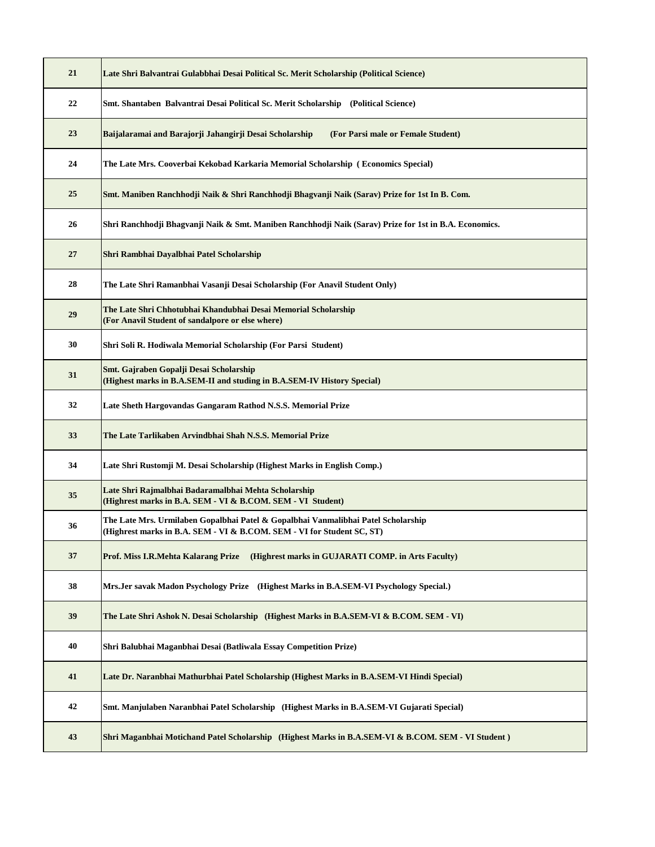| 21 | Late Shri Balvantrai Gulabbhai Desai Political Sc. Merit Scholarship (Political Science)                                                                    |
|----|-------------------------------------------------------------------------------------------------------------------------------------------------------------|
| 22 | Smt. Shantaben Balvantrai Desai Political Sc. Merit Scholarship (Political Science)                                                                         |
| 23 | Baijalaramai and Barajorji Jahangirji Desai Scholarship<br>(For Parsi male or Female Student)                                                               |
| 24 | The Late Mrs. Cooverbai Kekobad Karkaria Memorial Scholarship(Economics Special)                                                                            |
| 25 | Smt. Maniben Ranchhodji Naik & Shri Ranchhodji Bhagvanji Naik (Sarav) Prize for 1st In B. Com.                                                              |
| 26 | Shri Ranchhodji Bhagvanji Naik & Smt. Maniben Ranchhodji Naik (Sarav) Prize for 1st in B.A. Economics.                                                      |
| 27 | Shri Rambhai Dayalbhai Patel Scholarship                                                                                                                    |
| 28 | The Late Shri Ramanbhai Vasanji Desai Scholarship (For Anavil Student Only)                                                                                 |
| 29 | The Late Shri Chhotubhai Khandubhai Desai Memorial Scholarship<br>(For Anavil Student of sandalpore or else where)                                          |
| 30 | Shri Soli R. Hodiwala Memorial Scholarship (For Parsi Student)                                                                                              |
| 31 | Smt. Gajraben Gopalji Desai Scholarship<br>(Highest marks in B.A.SEM-II and studing in B.A.SEM-IV History Special)                                          |
| 32 | Late Sheth Hargovandas Gangaram Rathod N.S.S. Memorial Prize                                                                                                |
| 33 | The Late Tarlikaben Arvindbhai Shah N.S.S. Memorial Prize                                                                                                   |
| 34 | Late Shri Rustomji M. Desai Scholarship (Highest Marks in English Comp.)                                                                                    |
| 35 | Late Shri Rajmalbhai Badaramalbhai Mehta Scholarship<br>(Highrest marks in B.A. SEM - VI & B.COM. SEM - VI Student)                                         |
| 36 | The Late Mrs. Urmilaben Gopalbhai Patel & Gopalbhai Vanmalibhai Patel Scholarship<br>(Highrest marks in B.A. SEM - VI & B.COM. SEM - VI for Student SC, ST) |
| 37 | Prof. Miss I.R.Mehta Kalarang Prize<br>(Highrest marks in GUJARATI COMP. in Arts Faculty)                                                                   |
| 38 | Mrs.Jer savak Madon Psychology Prize (Highest Marks in B.A.SEM-VI Psychology Special.)                                                                      |
| 39 | The Late Shri Ashok N. Desai Scholarship (Highest Marks in B.A.SEM-VI & B.COM. SEM - VI)                                                                    |
| 40 | Shri Balubhai Maganbhai Desai (Batliwala Essay Competition Prize)                                                                                           |
| 41 | Late Dr. Naranbhai Mathurbhai Patel Scholarship (Highest Marks in B.A.SEM-VI Hindi Special)                                                                 |
| 42 | Smt. Manjulaben Naranbhai Patel Scholarship (Highest Marks in B.A.SEM-VI Gujarati Special)                                                                  |
| 43 | Shri Maganbhai Motichand Patel Scholarship (Highest Marks in B.A.SEM-VI & B.COM. SEM - VI Student)                                                          |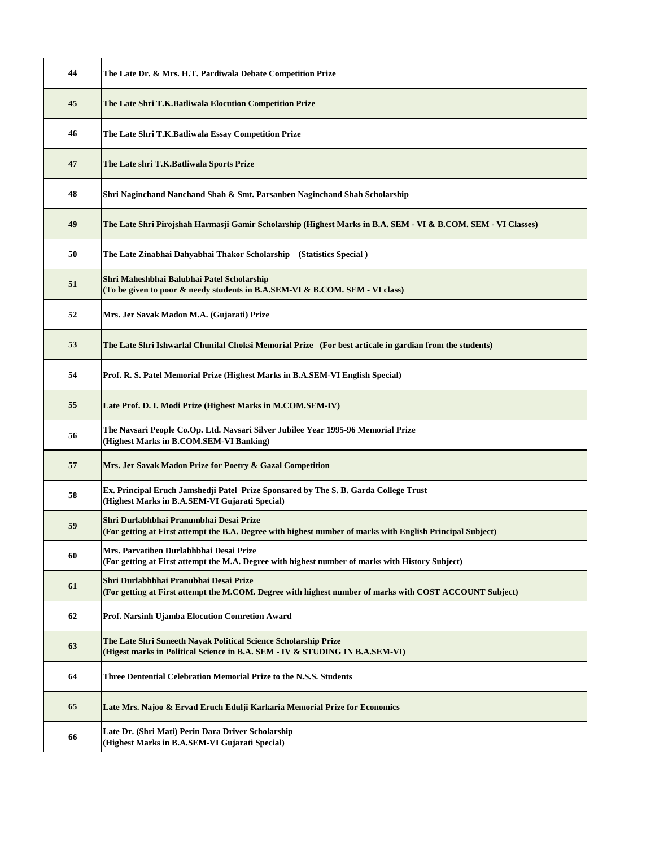| 44 | The Late Dr. & Mrs. H.T. Pardiwala Debate Competition Prize                                                                                           |
|----|-------------------------------------------------------------------------------------------------------------------------------------------------------|
| 45 | The Late Shri T.K.Batliwala Elocution Competition Prize                                                                                               |
| 46 | The Late Shri T.K.Batliwala Essay Competition Prize                                                                                                   |
| 47 | The Late shri T.K.Batliwala Sports Prize                                                                                                              |
| 48 | Shri Naginchand Nanchand Shah & Smt. Parsanben Naginchand Shah Scholarship                                                                            |
| 49 | The Late Shri Pirojshah Harmasji Gamir Scholarship (Highest Marks in B.A. SEM - VI & B.COM. SEM - VI Classes)                                         |
| 50 | The Late Zinabhai Dahyabhai Thakor Scholarship (Statistics Special)                                                                                   |
| 51 | Shri Maheshbhai Balubhai Patel Scholarship<br>(To be given to poor & needy students in B.A.SEM-VI & B.COM. SEM - VI class)                            |
| 52 | Mrs. Jer Savak Madon M.A. (Gujarati) Prize                                                                                                            |
| 53 | The Late Shri Ishwarlal Chunilal Choksi Memorial Prize (For best articale in gardian from the students)                                               |
| 54 | Prof. R. S. Patel Memorial Prize (Highest Marks in B.A.SEM-VI English Special)                                                                        |
| 55 | Late Prof. D. I. Modi Prize (Highest Marks in M.COM.SEM-IV)                                                                                           |
| 56 | The Navsari People Co.Op. Ltd. Navsari Silver Jubilee Year 1995-96 Memorial Prize<br>(Highest Marks in B.COM.SEM-VI Banking)                          |
| 57 | Mrs. Jer Savak Madon Prize for Poetry & Gazal Competition                                                                                             |
| 58 | Ex. Principal Eruch Jamshedji Patel Prize Sponsared by The S. B. Garda College Trust<br>(Highest Marks in B.A.SEM-VI Gujarati Special)                |
| 59 | Shri Durlabhbhai Pranumbhai Desai Prize<br>(For getting at First attempt the B.A. Degree with highest number of marks with English Principal Subject) |
| 60 | Mrs. Parvatiben Durlabhbhai Desai Prize<br>(For getting at First attempt the M.A. Degree with highest number of marks with History Subject)           |
| 61 | Shri Durlabhbhai Pranubhai Desai Prize<br>(For getting at First attempt the M.COM. Degree with highest number of marks with COST ACCOUNT Subject)     |
| 62 | Prof. Narsinh Ujamba Elocution Comretion Award                                                                                                        |
| 63 | The Late Shri Suneeth Nayak Political Science Scholarship Prize<br>(Higest marks in Political Science in B.A. SEM - IV & STUDING IN B.A.SEM-VI)       |
| 64 | Three Dentential Celebration Memorial Prize to the N.S.S. Students                                                                                    |
| 65 | Late Mrs. Najoo & Ervad Eruch Edulji Karkaria Memorial Prize for Economics                                                                            |
| 66 | Late Dr. (Shri Mati) Perin Dara Driver Scholarship<br>(Highest Marks in B.A.SEM-VI Gujarati Special)                                                  |